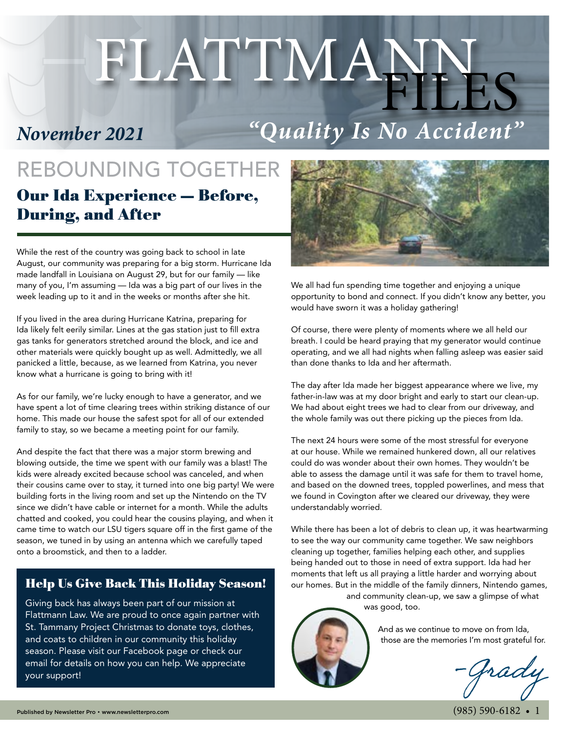# FLATTMANNES

*November 2021*

# *"Quality Is No Accident"*

## REBOUNDING TOGETHER Our Ida Experience — Before, During, and After

While the rest of the country was going back to school in late August, our community was preparing for a big storm. Hurricane Ida made landfall in Louisiana on August 29, but for our family — like many of you, I'm assuming — Ida was a big part of our lives in the week leading up to it and in the weeks or months after she hit.

If you lived in the area during Hurricane Katrina, preparing for Ida likely felt eerily similar. Lines at the gas station just to fill extra gas tanks for generators stretched around the block, and ice and other materials were quickly bought up as well. Admittedly, we all panicked a little, because, as we learned from Katrina, you never know what a hurricane is going to bring with it!

As for our family, we're lucky enough to have a generator, and we have spent a lot of time clearing trees within striking distance of our home. This made our house the safest spot for all of our extended family to stay, so we became a meeting point for our family.

And despite the fact that there was a major storm brewing and blowing outside, the time we spent with our family was a blast! The kids were already excited because school was canceled, and when their cousins came over to stay, it turned into one big party! We were building forts in the living room and set up the Nintendo on the TV since we didn't have cable or internet for a month. While the adults chatted and cooked, you could hear the cousins playing, and when it came time to watch our LSU tigers square off in the first game of the season, we tuned in by using an antenna which we carefully taped onto a broomstick, and then to a ladder.

#### Help Us Give Back This Holiday Season!

Giving back has always been part of our mission at Flattmann Law. We are proud to once again partner with St. Tammany Project Christmas to donate toys, clothes, and coats to children in our community this holiday season. Please visit our Facebook page or check our email for details on how you can help. We appreciate your support!



We all had fun spending time together and enjoying a unique opportunity to bond and connect. If you didn't know any better, you would have sworn it was a holiday gathering!

Of course, there were plenty of moments where we all held our breath. I could be heard praying that my generator would continue operating, and we all had nights when falling asleep was easier said than done thanks to Ida and her aftermath.

The day after Ida made her biggest appearance where we live, my father-in-law was at my door bright and early to start our clean-up. We had about eight trees we had to clear from our driveway, and the whole family was out there picking up the pieces from Ida.

The next 24 hours were some of the most stressful for everyone at our house. While we remained hunkered down, all our relatives could do was wonder about their own homes. They wouldn't be able to assess the damage until it was safe for them to travel home, and based on the downed trees, toppled powerlines, and mess that we found in Covington after we cleared our driveway, they were understandably worried.

While there has been a lot of debris to clean up, it was heartwarming to see the way our community came together. We saw neighbors cleaning up together, families helping each other, and supplies being handed out to those in need of extra support. Ida had her moments that left us all praying a little harder and worrying about our homes. But in the middle of the family dinners, Nintendo games,

and community clean-up, we saw a glimpse of what was good, too.



And as we continue to move on from Ida, those are the memories I'm most grateful for.

-Grady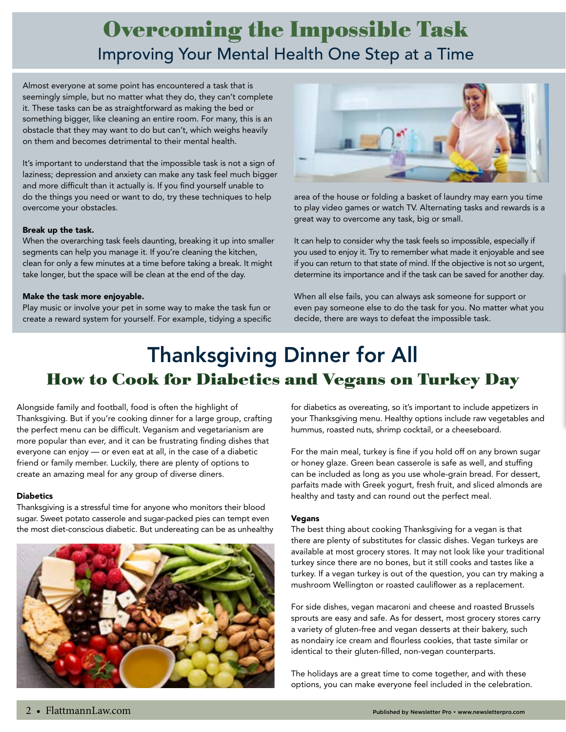## Overcoming the Impossible Task Improving Your Mental Health One Step at a Time

Almost everyone at some point has encountered a task that is seemingly simple, but no matter what they do, they can't complete it. These tasks can be as straightforward as making the bed or something bigger, like cleaning an entire room. For many, this is an obstacle that they may want to do but can't, which weighs heavily on them and becomes detrimental to their mental health.

It's important to understand that the impossible task is not a sign of laziness; depression and anxiety can make any task feel much bigger and more difficult than it actually is. If you find yourself unable to do the things you need or want to do, try these techniques to help overcome your obstacles.

#### Break up the task.

When the overarching task feels daunting, breaking it up into smaller segments can help you manage it. If you're cleaning the kitchen, clean for only a few minutes at a time before taking a break. It might take longer, but the space will be clean at the end of the day.

#### Make the task more enjoyable.

Play music or involve your pet in some way to make the task fun or create a reward system for yourself. For example, tidying a specific



area of the house or folding a basket of laundry may earn you time to play video games or watch TV. Alternating tasks and rewards is a great way to overcome any task, big or small.

It can help to consider why the task feels so impossible, especially if you used to enjoy it. Try to remember what made it enjoyable and see if you can return to that state of mind. If the objective is not so urgent, determine its importance and if the task can be saved for another day.

When all else fails, you can always ask someone for support or even pay someone else to do the task for you. No matter what you decide, there are ways to defeat the impossible task.

## Thanksgiving Dinner for All How to Cook for Diabetics and Vegans on Turkey Day

Alongside family and football, food is often the highlight of Thanksgiving. But if you're cooking dinner for a large group, crafting the perfect menu can be difficult. Veganism and vegetarianism are more popular than ever, and it can be frustrating finding dishes that everyone can enjoy — or even eat at all, in the case of a diabetic friend or family member. Luckily, there are plenty of options to create an amazing meal for any group of diverse diners.

#### **Diabetics**

Thanksgiving is a stressful time for anyone who monitors their blood sugar. Sweet potato casserole and sugar-packed pies can tempt even the most diet-conscious diabetic. But undereating can be as unhealthy



for diabetics as overeating, so it's important to include appetizers in your Thanksgiving menu. Healthy options include raw vegetables and hummus, roasted nuts, shrimp cocktail, or a cheeseboard.

For the main meal, turkey is fine if you hold off on any brown sugar or honey glaze. Green bean casserole is safe as well, and stuffing can be included as long as you use whole-grain bread. For dessert, parfaits made with Greek yogurt, fresh fruit, and sliced almonds are healthy and tasty and can round out the perfect meal.

#### Vegans

The best thing about cooking Thanksgiving for a vegan is that there are plenty of substitutes for classic dishes. Vegan turkeys are available at most grocery stores. It may not look like your traditional turkey since there are no bones, but it still cooks and tastes like a turkey. If a vegan turkey is out of the question, you can try making a mushroom Wellington or roasted cauliflower as a replacement.

For side dishes, vegan macaroni and cheese and roasted Brussels sprouts are easy and safe. As for dessert, most grocery stores carry a variety of gluten-free and vegan desserts at their bakery, such as nondairy ice cream and flourless cookies, that taste similar or identical to their gluten-filled, non-vegan counterparts.

The holidays are a great time to come together, and with these options, you can make everyone feel included in the celebration.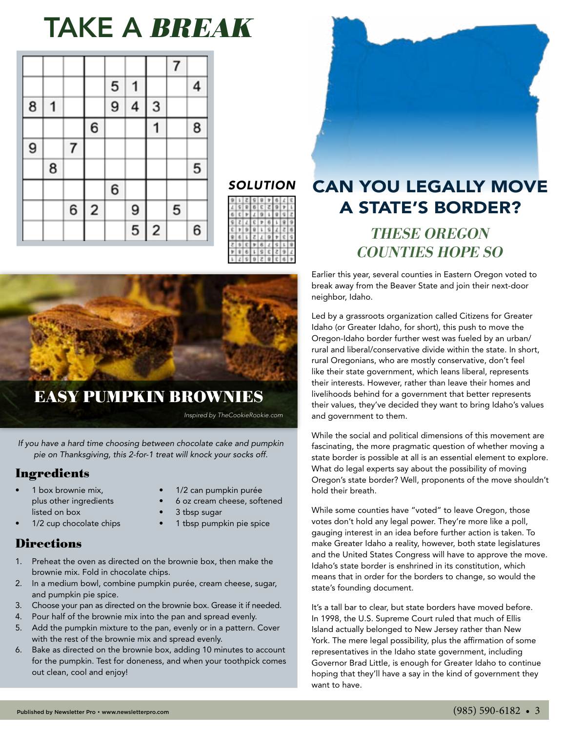# TAKE A BREAK

|   |   |   |                         | 5 | 1 |                         |   | 4 |
|---|---|---|-------------------------|---|---|-------------------------|---|---|
| 8 | 1 |   |                         | 9 | 4 | 3                       |   |   |
|   |   |   | 6                       |   |   |                         |   | 8 |
| 9 |   | 7 |                         |   |   |                         |   |   |
|   | 8 |   |                         |   |   |                         |   | 5 |
|   |   |   |                         | 6 |   |                         |   |   |
|   |   | 6 | $\overline{\mathbf{c}}$ |   | 9 |                         | 5 |   |
|   |   |   |                         |   | 5 | $\overline{\mathbf{c}}$ |   | 6 |





### EASY PUMPKIN BROWNIES

*Inspired by TheCookieRookie.com*

*If you have a hard time choosing between chocolate cake and pumpkin pie on Thanksgiving, this 2-for-1 treat will knock your socks off.* 

#### **Ingredients**

- 1 box brownie mix, plus other ingredients listed on box
- 1/2 cup chocolate chips
- 1/2 can pumpkin purée
- 6 oz cream cheese, softened
- 3 tbsp sugar
- 1 tbsp pumpkin pie spice

#### **Directions**

- 1. Preheat the oven as directed on the brownie box, then make the brownie mix. Fold in chocolate chips.
- 2. In a medium bowl, combine pumpkin purée, cream cheese, sugar, and pumpkin pie spice.
- 3. Choose your pan as directed on the brownie box. Grease it if needed.
- 4. Pour half of the brownie mix into the pan and spread evenly.
- 5. Add the pumpkin mixture to the pan, evenly or in a pattern. Cover with the rest of the brownie mix and spread evenly.
- 6. Bake as directed on the brownie box, adding 10 minutes to account for the pumpkin. Test for doneness, and when your toothpick comes out clean, cool and enjoy!



## THESE OREGON CAN YOU LEGALLY MOVE A STATE'S BORDER?

# COUNTIES HOPE SO

Earlier this year, several counties in Eastern Oregon voted to break away from the Beaver State and join their next-door neighbor, Idaho.

Led by a grassroots organization called Citizens for Greater Idaho (or Greater Idaho, for short), this push to move the Oregon-Idaho border further west was fueled by an urban/ rural and liberal/conservative divide within the state. In short, rural Oregonians, who are mostly conservative, don't feel like their state government, which leans liberal, represents their interests. However, rather than leave their homes and livelihoods behind for a government that better represents their values, they've decided they want to bring Idaho's values and government to them.

While the social and political dimensions of this movement are fascinating, the more pragmatic question of whether moving a state border is possible at all is an essential element to explore. What do legal experts say about the possibility of moving Oregon's state border? Well, proponents of the move shouldn't hold their breath.

While some counties have "voted" to leave Oregon, those votes don't hold any legal power. They're more like a poll, gauging interest in an idea before further action is taken. To make Greater Idaho a reality, however, both state legislatures and the United States Congress will have to approve the move. Idaho's state border is enshrined in its constitution, which means that in order for the borders to change, so would the state's founding document.

It's a tall bar to clear, but state borders have moved before. In 1998, the U.S. Supreme Court ruled that much of Ellis Island actually belonged to New Jersey rather than New York. The mere legal possibility, plus the affirmation of some representatives in the Idaho state government, including Governor Brad Little, is enough for Greater Idaho to continue hoping that they'll have a say in the kind of government they want to have.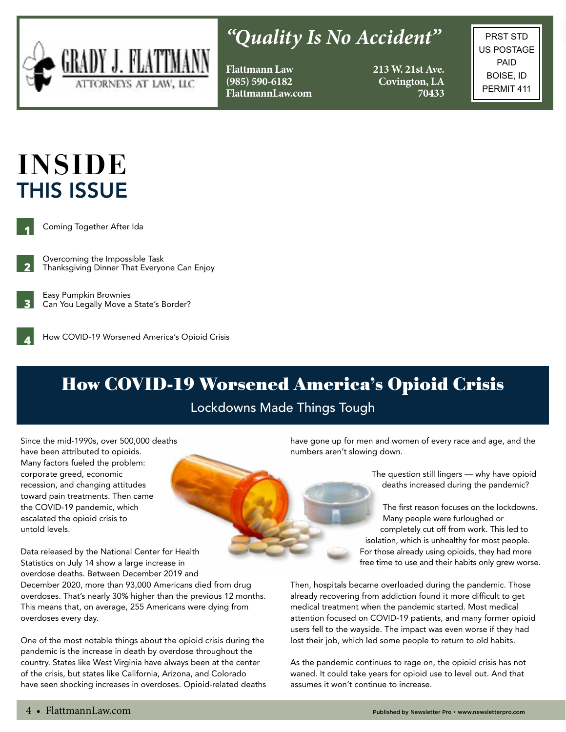

# *"Quality Is No Accident"*

**Flattmann Law (985) 590-6182 FlattmannLaw.com** **213 W. 21st Ave. Covington, LA 70433**

PRST STD US POSTAGE PAID BOISE, ID PERMIT 411

# INSIDE THIS ISSUE



Coming Together After Ida

**2** Overcoming the Impossible Task Thanksgiving Dinner That Everyone Can Enjoy



**4**

Easy Pumpkin Brownies Can You Legally Move a State's Border?

How COVID-19 Worsened America's Opioid Crisis

## How COVID-19 Worsened America's Opioid Crisis

#### Lockdowns Made Things Tough

Since the mid-1990s, over 500,000 deaths have been attributed to opioids. Many factors fueled the problem: corporate greed, economic recession, and changing attitudes toward pain treatments. Then came the COVID-19 pandemic, which escalated the opioid crisis to untold levels.

Data released by the National Center for Health Statistics on July 14 show a large increase in overdose deaths. Between December 2019 and December 2020, more than 93,000 Americans died from drug overdoses. That's nearly 30% higher than the previous 12 months. This means that, on average, 255 Americans were dying from overdoses every day.

One of the most notable things about the opioid crisis during the pandemic is the increase in death by overdose throughout the country. States like West Virginia have always been at the center of the crisis, but states like California, Arizona, and Colorado have seen shocking increases in overdoses. Opioid-related deaths have gone up for men and women of every race and age, and the numbers aren't slowing down.

> The question still lingers — why have opioid deaths increased during the pandemic?

The first reason focuses on the lockdowns. Many people were furloughed or completely cut off from work. This led to isolation, which is unhealthy for most people. For those already using opioids, they had more free time to use and their habits only grew worse.

Then, hospitals became overloaded during the pandemic. Those already recovering from addiction found it more difficult to get medical treatment when the pandemic started. Most medical attention focused on COVID-19 patients, and many former opioid users fell to the wayside. The impact was even worse if they had lost their job, which led some people to return to old habits.

As the pandemic continues to rage on, the opioid crisis has not waned. It could take years for opioid use to level out. And that assumes it won't continue to increase.